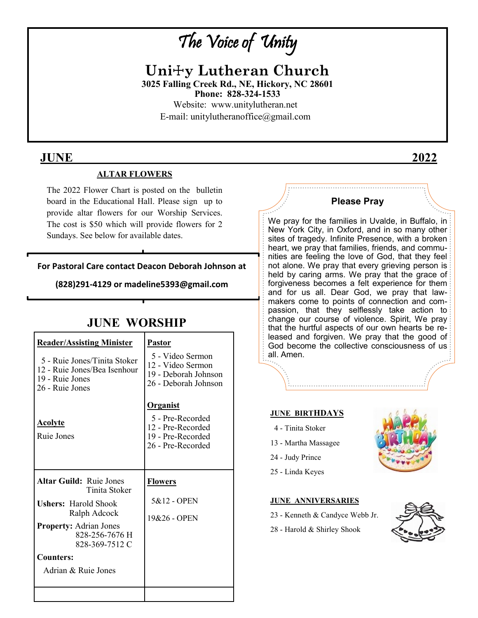# The Voice of Unity

**Uni**☩**y Lutheran Church 3025 Falling Creek Rd., NE, Hickory, NC 28601 Phone: 828-324-1533**  Website: www.unitylutheran.net E-mail: unitylutheranoffice@gmail.com

## **JUNE \_\_\_\_ \_\_\_\_\_ 2022**

### **ALTAR FLOWERS**

The 2022 Flower Chart is posted on the bulletin board in the Educational Hall. Please sign up to provide altar flowers for our Worship Services. The cost is \$50 which will provide flowers for 2 Sundays. See below for available dates.

**For Pastoral Care contact Deacon Deborah Johnson at**

**(828)291-4129 or madeline5393@gmail.com**

## **JUNE WORSHIP**

| <b>Reader/Assisting Minister</b>                                                                   | <b>Pastor</b>                                                                                      |
|----------------------------------------------------------------------------------------------------|----------------------------------------------------------------------------------------------------|
| 5 - Ruie Jones/Tinita Stoker<br>12 - Ruie Jones/Bea Isenhour<br>19 - Ruie Jones<br>26 - Ruie Jones | 5 - Video Sermon<br>12 - Video Sermon<br>19 - Deborah Johnson<br>26 - Deborah Johnson              |
| <u>Acolyte</u><br>Ruie Jones                                                                       | <u>Organist</u><br>5 - Pre-Recorded<br>12 - Pre-Recorded<br>19 - Pre-Recorded<br>26 - Pre-Recorded |
| <b>Altar Guild: Ruie Jones</b><br>Tinita Stoker                                                    | <b>Flowers</b>                                                                                     |
| <b>Ushers: Harold Shook</b><br>Ralph Adcock                                                        | 5&12 - OPEN                                                                                        |
| <b>Property:</b> Adrian Jones<br>828-256-7676 H<br>828-369-7512 C                                  | 19&26 - OPEN                                                                                       |
| Counters:                                                                                          |                                                                                                    |
| Adrian & Ruie Jones                                                                                |                                                                                                    |

#### **Please Pray**

We pray for the families in Uvalde, in Buffalo, in New York City, in Oxford, and in so many other sites of tragedy. Infinite Presence, with a broken heart, we pray that families, friends, and communities are feeling the love of God, that they feel not alone. We pray that every grieving person is held by caring arms. We pray that the grace of forgiveness becomes a felt experience for them and for us all. Dear God, we pray that lawmakers come to points of connection and compassion, that they selflessly take action to change our course of violence. Spirit, We pray that the hurtful aspects of our own hearts be released and forgiven. We pray that the good of God become the collective consciousness of us all. Amen.

## **JUNE BIRTHDAYS**

- 4 Tinita Stoker
- 13 Martha Massagee
- 24 Judy Prince
- 25 Linda Keyes

#### **JUNE ANNIVERSARIES**

- 23 Kenneth & Candyce Webb Jr.
- 28 Harold & Shirley Shook